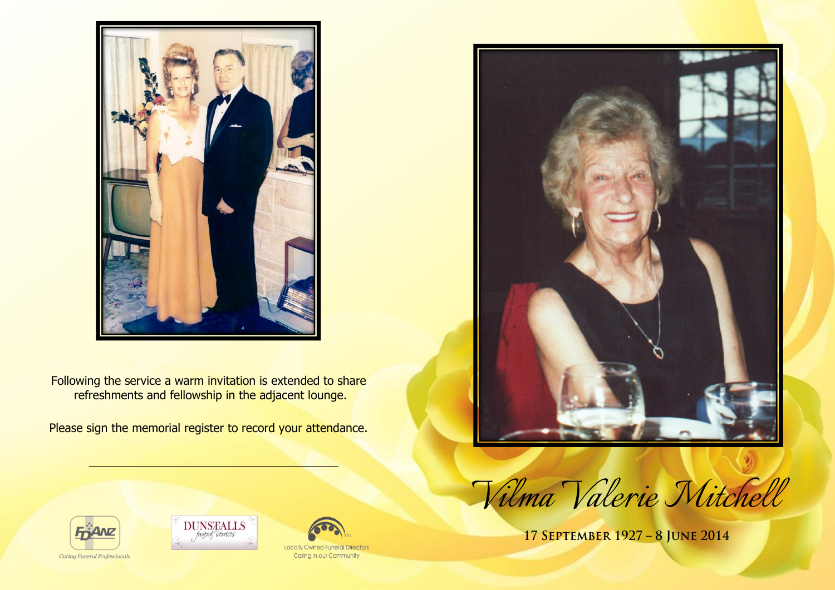

Following the service a warm invitation is extended to share refreshments and fellowship in the adjacent lounge.

Please sign the memorial register to record your attendance.





17 SEPTEMBER 1927 - 8 JUNE 2014





**Locally Owned Funeral Directors** Caring in our Community